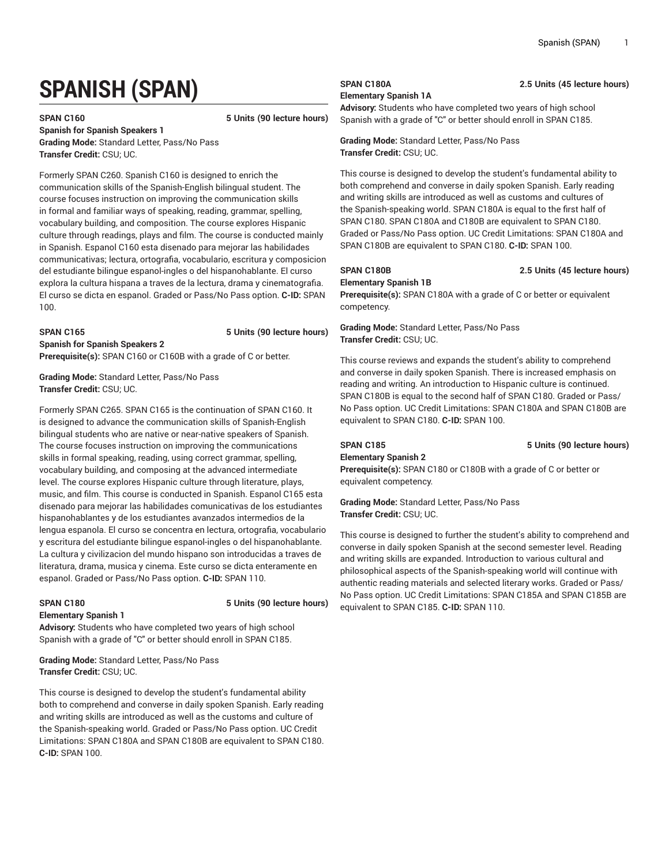# **SPANISH (SPAN)**

**SPAN C160 5 Units (90 lecture hours)**

**Spanish for Spanish Speakers 1 Grading Mode:** Standard Letter, Pass/No Pass **Transfer Credit:** CSU; UC.

Formerly SPAN C260. Spanish C160 is designed to enrich the communication skills of the Spanish-English bilingual student. The course focuses instruction on improving the communication skills in formal and familiar ways of speaking, reading, grammar, spelling, vocabulary building, and composition. The course explores Hispanic culture through readings, plays and film. The course is conducted mainly in Spanish. Espanol C160 esta disenado para mejorar las habilidades communicativas; lectura, ortografia, vocabulario, escritura y composicion del estudiante bilingue espanol-ingles o del hispanohablante. El curso explora la cultura hispana a traves de la lectura, drama y cinematografia. El curso se dicta en espanol. Graded or Pass/No Pass option. **C-ID:** SPAN 100.

**SPAN C165 5 Units (90 lecture hours)**

**Prerequisite(s):** SPAN C160 or C160B with a grade of C or better.

**Grading Mode:** Standard Letter, Pass/No Pass **Transfer Credit:** CSU; UC.

**Spanish for Spanish Speakers 2**

Formerly SPAN C265. SPAN C165 is the continuation of SPAN C160. It is designed to advance the communication skills of Spanish-English bilingual students who are native or near-native speakers of Spanish. The course focuses instruction on improving the communications skills in formal speaking, reading, using correct grammar, spelling, vocabulary building, and composing at the advanced intermediate level. The course explores Hispanic culture through literature, plays, music, and film. This course is conducted in Spanish. Espanol C165 esta disenado para mejorar las habilidades comunicativas de los estudiantes hispanohablantes y de los estudiantes avanzados intermedios de la lengua espanola. El curso se concentra en lectura, ortografia, vocabulario y escritura del estudiante bilingue espanol-ingles o del hispanohablante. La cultura y civilizacion del mundo hispano son introducidas a traves de literatura, drama, musica y cinema. Este curso se dicta enteramente en espanol. Graded or Pass/No Pass option. **C-ID:** SPAN 110.

**Elementary Spanish 1**

**SPAN C180 5 Units (90 lecture hours)**

**Advisory:** Students who have completed two years of high school Spanish with a grade of "C" or better should enroll in SPAN C185.

**Grading Mode:** Standard Letter, Pass/No Pass **Transfer Credit:** CSU; UC.

This course is designed to develop the student's fundamental ability both to comprehend and converse in daily spoken Spanish. Early reading and writing skills are introduced as well as the customs and culture of the Spanish-speaking world. Graded or Pass/No Pass option. UC Credit Limitations: SPAN C180A and SPAN C180B are equivalent to SPAN C180. **C-ID:** SPAN 100.

**Elementary Spanish 1A**

**Advisory:** Students who have completed two years of high school Spanish with a grade of "C" or better should enroll in SPAN C185.

**Grading Mode:** Standard Letter, Pass/No Pass **Transfer Credit:** CSU; UC.

This course is designed to develop the student's fundamental ability to both comprehend and converse in daily spoken Spanish. Early reading and writing skills are introduced as well as customs and cultures of the Spanish-speaking world. SPAN C180A is equal to the first half of SPAN C180. SPAN C180A and C180B are equivalent to SPAN C180. Graded or Pass/No Pass option. UC Credit Limitations: SPAN C180A and SPAN C180B are equivalent to SPAN C180. **C-ID:** SPAN 100.

## **SPAN C180B 2.5 Units (45 lecture hours)**

### **Elementary Spanish 1B**

**Prerequisite(s):** SPAN C180A with a grade of C or better or equivalent competency.

**Grading Mode:** Standard Letter, Pass/No Pass **Transfer Credit:** CSU; UC.

This course reviews and expands the student's ability to comprehend and converse in daily spoken Spanish. There is increased emphasis on reading and writing. An introduction to Hispanic culture is continued. SPAN C180B is equal to the second half of SPAN C180. Graded or Pass/ No Pass option. UC Credit Limitations: SPAN C180A and SPAN C180B are equivalent to SPAN C180. **C-ID:** SPAN 100.

## **Elementary Spanish 2**

**SPAN C185 5 Units (90 lecture hours)**

**Prerequisite(s):** SPAN C180 or C180B with a grade of C or better or equivalent competency.

**Grading Mode:** Standard Letter, Pass/No Pass **Transfer Credit:** CSU; UC.

This course is designed to further the student's ability to comprehend and converse in daily spoken Spanish at the second semester level. Reading and writing skills are expanded. Introduction to various cultural and philosophical aspects of the Spanish-speaking world will continue with authentic reading materials and selected literary works. Graded or Pass/ No Pass option. UC Credit Limitations: SPAN C185A and SPAN C185B are equivalent to SPAN C185. **C-ID:** SPAN 110.

## **SPAN C180A 2.5 Units (45 lecture hours)**